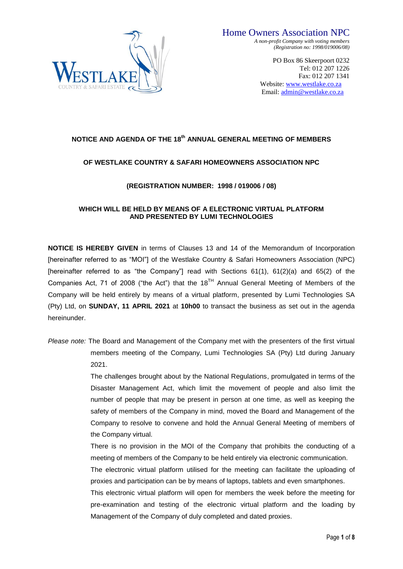

*A non-profit Company with voting members (Registration no: 1998/019006/08)*

> PO Box 86 Skeerpoort 0232 Tel: 012 207 1226 Fax: 012 207 1341 Website: [www.westlake.co.za](http://www.westlake.co.za/)  Email: [admin@westlake.co.za](mailto:admin@westlake.co.za)

### **NOTICE AND AGENDA OF THE 18th ANNUAL GENERAL MEETING OF MEMBERS**

### **OF WESTLAKE COUNTRY & SAFARI HOMEOWNERS ASSOCIATION NPC**

### **(REGISTRATION NUMBER: 1998 / 019006 / 08)**

### **WHICH WILL BE HELD BY MEANS OF A ELECTRONIC VIRTUAL PLATFORM AND PRESENTED BY LUMI TECHNOLOGIES**

**NOTICE IS HEREBY GIVEN** in terms of Clauses 13 and 14 of the Memorandum of Incorporation [hereinafter referred to as "MOI"] of the Westlake Country & Safari Homeowners Association (NPC) [hereinafter referred to as "the Company"] read with Sections 61(1), 61(2)(a) and 65(2) of the Companies Act, 71 of 2008 ("the Act") that the  $18^{TH}$  Annual General Meeting of Members of the Company will be held entirely by means of a virtual platform, presented by Lumi Technologies SA (Pty) Ltd, on **SUNDAY, 11 APRIL 2021** at **10h00** to transact the business as set out in the agenda hereinunder.

*Please note:* The Board and Management of the Company met with the presenters of the first virtual members meeting of the Company, Lumi Technologies SA (Pty) Ltd during January 2021.

> The challenges brought about by the National Regulations, promulgated in terms of the Disaster Management Act, which limit the movement of people and also limit the number of people that may be present in person at one time, as well as keeping the safety of members of the Company in mind, moved the Board and Management of the Company to resolve to convene and hold the Annual General Meeting of members of the Company virtual.

> There is no provision in the MOI of the Company that prohibits the conducting of a meeting of members of the Company to be held entirely via electronic communication.

> The electronic virtual platform utilised for the meeting can facilitate the uploading of proxies and participation can be by means of laptops, tablets and even smartphones.

> This electronic virtual platform will open for members the week before the meeting for pre-examination and testing of the electronic virtual platform and the loading by Management of the Company of duly completed and dated proxies.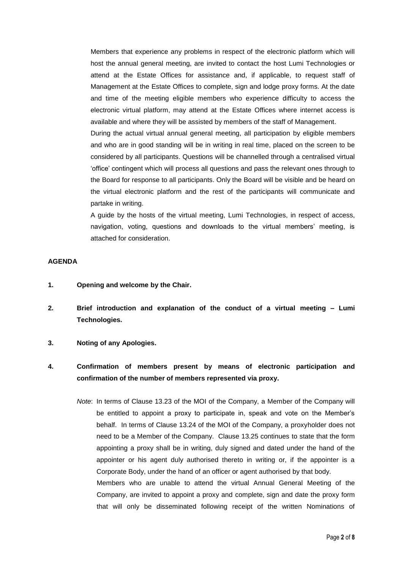Members that experience any problems in respect of the electronic platform which will host the annual general meeting, are invited to contact the host Lumi Technologies or attend at the Estate Offices for assistance and, if applicable, to request staff of Management at the Estate Offices to complete, sign and lodge proxy forms. At the date and time of the meeting eligible members who experience difficulty to access the electronic virtual platform, may attend at the Estate Offices where internet access is available and where they will be assisted by members of the staff of Management.

During the actual virtual annual general meeting, all participation by eligible members and who are in good standing will be in writing in real time, placed on the screen to be considered by all participants. Questions will be channelled through a centralised virtual 'office' contingent which will process all questions and pass the relevant ones through to the Board for response to all participants. Only the Board will be visible and be heard on the virtual electronic platform and the rest of the participants will communicate and partake in writing.

A guide by the hosts of the virtual meeting, Lumi Technologies, in respect of access, navigation, voting, questions and downloads to the virtual members' meeting, is attached for consideration.

#### **AGENDA**

- **1. Opening and welcome by the Chair.**
- **2. Brief introduction and explanation of the conduct of a virtual meeting – Lumi Technologies.**
- **3. Noting of any Apologies.**
- **4. Confirmation of members present by means of electronic participation and confirmation of the number of members represented via proxy.**
	- *Note*: In terms of Clause 13.23 of the MOI of the Company, a Member of the Company will be entitled to appoint a proxy to participate in, speak and vote on the Member's behalf. In terms of Clause 13.24 of the MOI of the Company, a proxyholder does not need to be a Member of the Company. Clause 13.25 continues to state that the form appointing a proxy shall be in writing, duly signed and dated under the hand of the appointer or his agent duly authorised thereto in writing or, if the appointer is a Corporate Body, under the hand of an officer or agent authorised by that body. Members who are unable to attend the virtual Annual General Meeting of the

Company, are invited to appoint a proxy and complete, sign and date the proxy form that will only be disseminated following receipt of the written Nominations of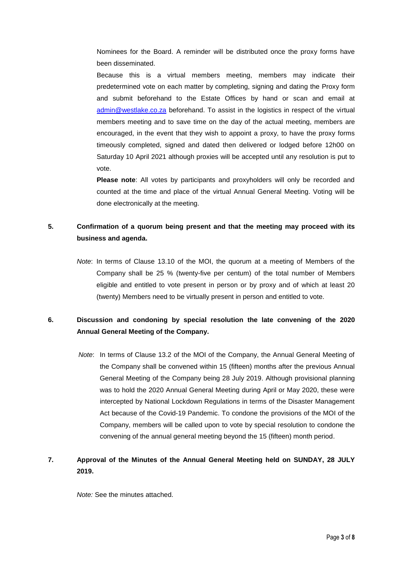Nominees for the Board. A reminder will be distributed once the proxy forms have been disseminated.

Because this is a virtual members meeting, members may indicate their predetermined vote on each matter by completing, signing and dating the Proxy form and submit beforehand to the Estate Offices by hand or scan and email at [admin@westlake.co.za](mailto:admin@westlake.co.za) beforehand. To assist in the logistics in respect of the virtual members meeting and to save time on the day of the actual meeting, members are encouraged, in the event that they wish to appoint a proxy, to have the proxy forms timeously completed, signed and dated then delivered or lodged before 12h00 on Saturday 10 April 2021 although proxies will be accepted until any resolution is put to vote.

**Please note**: All votes by participants and proxyholders will only be recorded and counted at the time and place of the virtual Annual General Meeting. Voting will be done electronically at the meeting.

# **5. Confirmation of a quorum being present and that the meeting may proceed with its business and agenda.**

*Note*: In terms of Clause 13.10 of the MOI, the quorum at a meeting of Members of the Company shall be 25 % (twenty-five per centum) of the total number of Members eligible and entitled to vote present in person or by proxy and of which at least 20 (twenty) Members need to be virtually present in person and entitled to vote.

# **6. Discussion and condoning by special resolution the late convening of the 2020 Annual General Meeting of the Company.**

*Note*: In terms of Clause 13.2 of the MOI of the Company, the Annual General Meeting of the Company shall be convened within 15 (fifteen) months after the previous Annual General Meeting of the Company being 28 July 2019. Although provisional planning was to hold the 2020 Annual General Meeting during April or May 2020, these were intercepted by National Lockdown Regulations in terms of the Disaster Management Act because of the Covid-19 Pandemic. To condone the provisions of the MOI of the Company, members will be called upon to vote by special resolution to condone the convening of the annual general meeting beyond the 15 (fifteen) month period.

## **7. Approval of the Minutes of the Annual General Meeting held on SUNDAY, 28 JULY 2019.**

*Note:* See the minutes attached.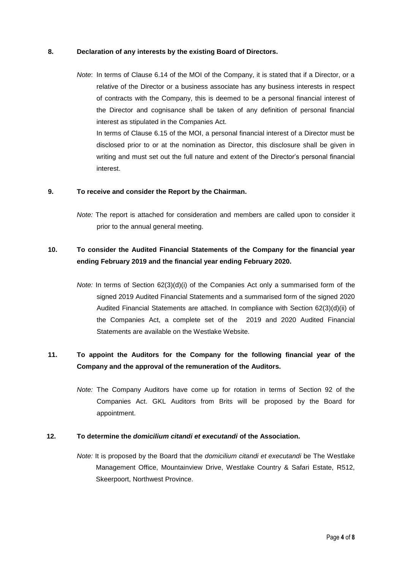### **8. Declaration of any interests by the existing Board of Directors.**

*Note*: In terms of Clause 6.14 of the MOI of the Company, it is stated that if a Director, or a relative of the Director or a business associate has any business interests in respect of contracts with the Company, this is deemed to be a personal financial interest of the Director and cognisance shall be taken of any definition of personal financial interest as stipulated in the Companies Act.

In terms of Clause 6.15 of the MOI, a personal financial interest of a Director must be disclosed prior to or at the nomination as Director, this disclosure shall be given in writing and must set out the full nature and extent of the Director's personal financial interest.

#### **9. To receive and consider the Report by the Chairman.**

*Note:* The report is attached for consideration and members are called upon to consider it prior to the annual general meeting.

# **10. To consider the Audited Financial Statements of the Company for the financial year ending February 2019 and the financial year ending February 2020.**

*Note:* In terms of Section 62(3)(d)(i) of the Companies Act only a summarised form of the signed 2019 Audited Financial Statements and a summarised form of the signed 2020 Audited Financial Statements are attached. In compliance with Section 62(3)(d)(ii) of the Companies Act, a complete set of the 2019 and 2020 Audited Financial Statements are available on the Westlake Website.

## **11. To appoint the Auditors for the Company for the following financial year of the Company and the approval of the remuneration of the Auditors.**

*Note:* The Company Auditors have come up for rotation in terms of Section 92 of the Companies Act. GKL Auditors from Brits will be proposed by the Board for appointment.

#### **12. To determine the** *domicilium citandi et executandi* **of the Association.**

*Note:* It is proposed by the Board that the *domicilium citandi et executandi* be The Westlake Management Office, Mountainview Drive, Westlake Country & Safari Estate, R512, Skeerpoort, Northwest Province.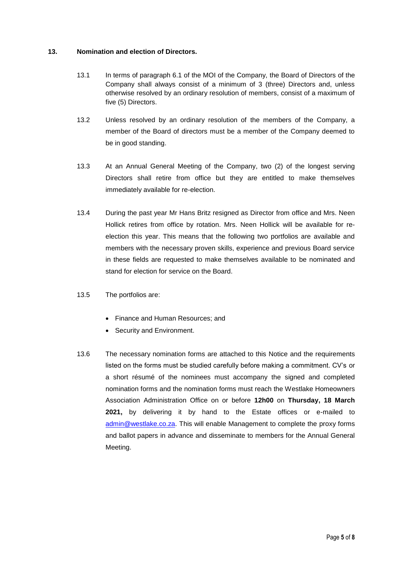### **13. Nomination and election of Directors.**

- 13.1 In terms of paragraph 6.1 of the MOI of the Company, the Board of Directors of the Company shall always consist of a minimum of 3 (three) Directors and, unless otherwise resolved by an ordinary resolution of members, consist of a maximum of five (5) Directors.
- 13.2 Unless resolved by an ordinary resolution of the members of the Company, a member of the Board of directors must be a member of the Company deemed to be in good standing.
- 13.3 At an Annual General Meeting of the Company, two (2) of the longest serving Directors shall retire from office but they are entitled to make themselves immediately available for re-election.
- 13.4 During the past year Mr Hans Britz resigned as Director from office and Mrs. Neen Hollick retires from office by rotation. Mrs. Neen Hollick will be available for reelection this year. This means that the following two portfolios are available and members with the necessary proven skills, experience and previous Board service in these fields are requested to make themselves available to be nominated and stand for election for service on the Board.
- 13.5 The portfolios are:
	- Finance and Human Resources: and
	- Security and Environment.
- 13.6 The necessary nomination forms are attached to this Notice and the requirements listed on the forms must be studied carefully before making a commitment. CV's or a short résumé of the nominees must accompany the signed and completed nomination forms and the nomination forms must reach the Westlake Homeowners Association Administration Office on or before **12h00** on **Thursday, 18 March 2021,** by delivering it by hand to the Estate offices or e-mailed to [admin@westlake.co.za.](mailto:admin@westlake.co.za) This will enable Management to complete the proxy forms and ballot papers in advance and disseminate to members for the Annual General Meeting.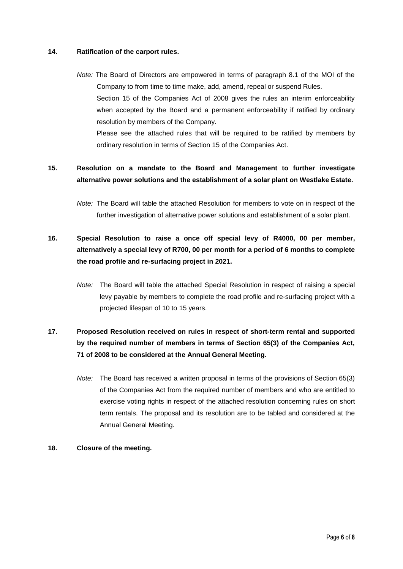### **14. Ratification of the carport rules.**

*Note:* The Board of Directors are empowered in terms of paragraph 8.1 of the MOI of the Company to from time to time make, add, amend, repeal or suspend Rules. Section 15 of the Companies Act of 2008 gives the rules an interim enforceability when accepted by the Board and a permanent enforceability if ratified by ordinary resolution by members of the Company. Please see the attached rules that will be required to be ratified by members by ordinary resolution in terms of Section 15 of the Companies Act.

## **15. Resolution on a mandate to the Board and Management to further investigate alternative power solutions and the establishment of a solar plant on Westlake Estate.**

*Note:* The Board will table the attached Resolution for members to vote on in respect of the further investigation of alternative power solutions and establishment of a solar plant.

# **16. Special Resolution to raise a once off special levy of R4000, 00 per member, alternatively a special levy of R700, 00 per month for a period of 6 months to complete the road profile and re-surfacing project in 2021.**

*Note:* The Board will table the attached Special Resolution in respect of raising a special levy payable by members to complete the road profile and re-surfacing project with a projected lifespan of 10 to 15 years.

# **17. Proposed Resolution received on rules in respect of short-term rental and supported by the required number of members in terms of Section 65(3) of the Companies Act, 71 of 2008 to be considered at the Annual General Meeting.**

*Note:* The Board has received a written proposal in terms of the provisions of Section 65(3) of the Companies Act from the required number of members and who are entitled to exercise voting rights in respect of the attached resolution concerning rules on short term rentals. The proposal and its resolution are to be tabled and considered at the Annual General Meeting.

### **18. Closure of the meeting.**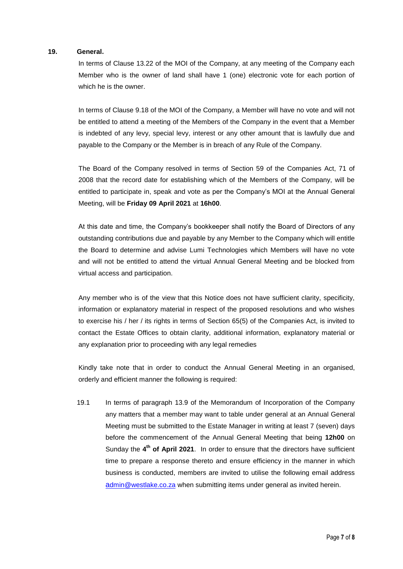#### **19. General.**

In terms of Clause 13.22 of the MOI of the Company, at any meeting of the Company each Member who is the owner of land shall have 1 (one) electronic vote for each portion of which he is the owner.

In terms of Clause 9.18 of the MOI of the Company, a Member will have no vote and will not be entitled to attend a meeting of the Members of the Company in the event that a Member is indebted of any levy, special levy, interest or any other amount that is lawfully due and payable to the Company or the Member is in breach of any Rule of the Company.

The Board of the Company resolved in terms of Section 59 of the Companies Act, 71 of 2008 that the record date for establishing which of the Members of the Company, will be entitled to participate in, speak and vote as per the Company's MOI at the Annual General Meeting, will be **Friday 09 April 2021** at **16h00**.

At this date and time, the Company's bookkeeper shall notify the Board of Directors of any outstanding contributions due and payable by any Member to the Company which will entitle the Board to determine and advise Lumi Technologies which Members will have no vote and will not be entitled to attend the virtual Annual General Meeting and be blocked from virtual access and participation.

Any member who is of the view that this Notice does not have sufficient clarity, specificity, information or explanatory material in respect of the proposed resolutions and who wishes to exercise his / her / its rights in terms of Section 65(5) of the Companies Act, is invited to contact the Estate Offices to obtain clarity, additional information, explanatory material or any explanation prior to proceeding with any legal remedies

Kindly take note that in order to conduct the Annual General Meeting in an organised, orderly and efficient manner the following is required:

19.1 In terms of paragraph 13.9 of the Memorandum of Incorporation of the Company any matters that a member may want to table under general at an Annual General Meeting must be submitted to the Estate Manager in writing at least 7 (seven) days before the commencement of the Annual General Meeting that being **12h00** on Sunday the 4<sup>th</sup> of April 2021. In order to ensure that the directors have sufficient time to prepare a response thereto and ensure efficiency in the manner in which business is conducted, members are invited to utilise the following email address a[dmin@westlake.co.za](mailto:admin@westlake.co.za) when submitting items under general as invited herein.